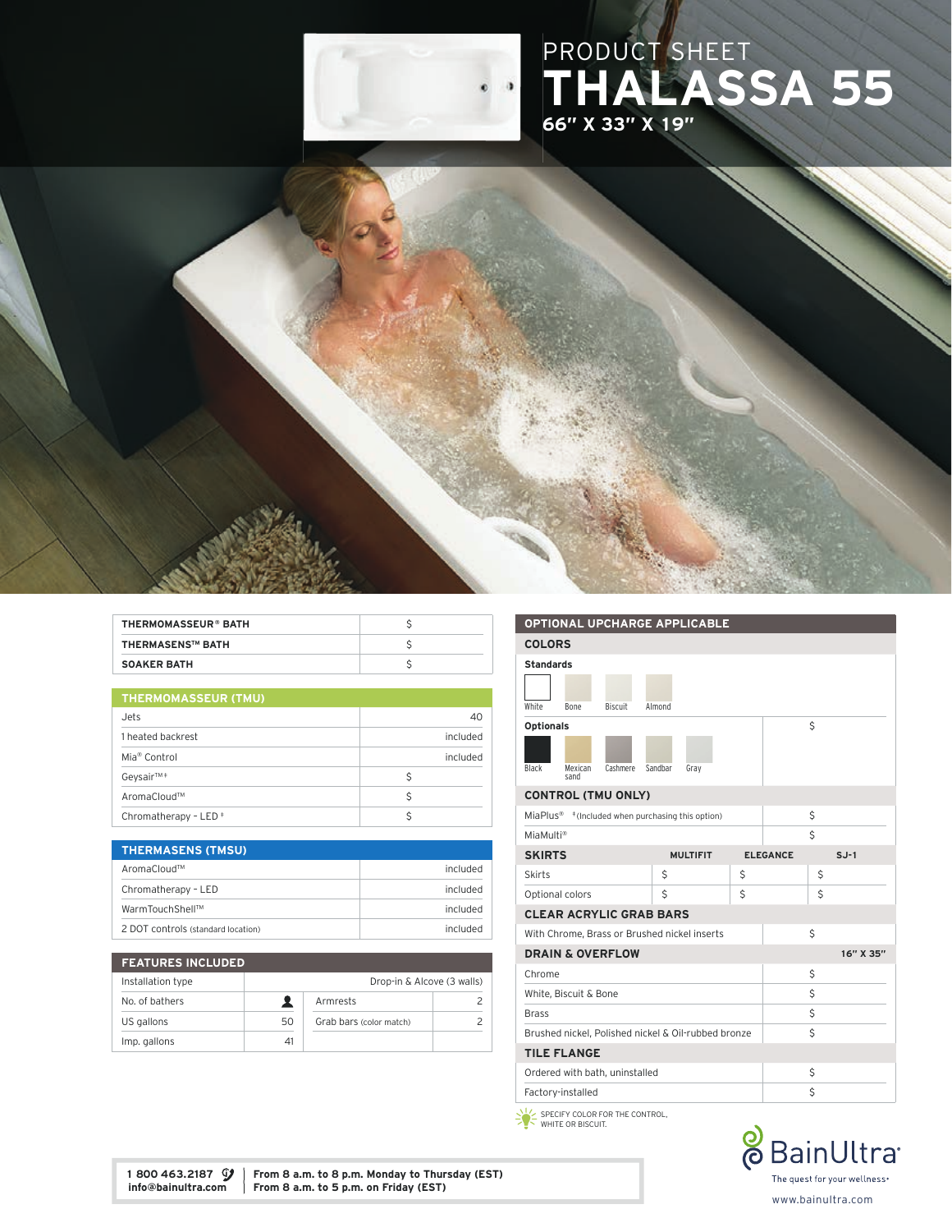

## PRODUCT SHEET THALASSA 55 66" X 33" X 19"



| THERMOMASSEUR® BATH     |  |
|-------------------------|--|
| <b>THERMASENS™ BATH</b> |  |
| <b>SOAKER BATH</b>      |  |

| <b>THERMOMASSEUR (TMU)</b> |  |
|----------------------------|--|
|----------------------------|--|

| Jets                             | 40       |
|----------------------------------|----------|
| 1 heated backrest                | included |
| Mia <sup>®</sup> Control         | included |
| Geysair <sup>™</sup> ‡           | Ś        |
| AromaCloud™                      | Ś        |
| Chromatherapy - LED <sup>+</sup> |          |

| <b>THERMASENS (TMSU)</b>           |          |
|------------------------------------|----------|
| AromaCloud™                        | included |
| Chromatherapy - LED                | included |
| WarmTouchShell™                    | included |
| 2 DOT controls (standard location) | included |

| <b>FEATURES INCLUDED</b> |                            |                         |  |
|--------------------------|----------------------------|-------------------------|--|
| Installation type        | Drop-in & Alcove (3 walls) |                         |  |
| No. of bathers           |                            | Armrests                |  |
| US gallons               | 50                         | Grab bars (color match) |  |
| Imp. gallons             | 41                         |                         |  |

### OPTIONAL UPCHARGE APPLICABLE COLORS Standards White Bone Biscuit Almond Optionals Black Mexican sand Cashmere Sandbar Gray  $\mathsf{S}$ CONTROL (TMU ONLY) MiaPlus® ‡ (Included when purchasing this option) \$ MiaMulti® **\$** SKIRTS MULTIFIT ELEGANCE SJ-1 Skirts  $\begin{array}{ccc} \vert & \zeta & \vert & \zeta & \vert \end{array}$ Optional colors 5 \$ CLEAR ACRYLIC GRAB BARS With Chrome, Brass or Brushed nickel inserts \$ **DRAIN & OVERFLOW** 16" X 35"  $\mathsf{Chrome}$   $\mathsf{S}$ White, Biscuit & Bone  $\zeta$  $Brass$   $\zeta$ Brushed nickel, Polished nickel & Oil-rubbed bronze TILE FLANGE Ordered with bath, uninstalled  $\zeta$ Factory-installed \$

 SPECIFY COLOR FOR THE CONTROL, WHITE OR BISCUIT.



1 800 463.2187  $\mathcal{Y}$  From 8 a.m. to 8 p.m. Monday to Thursday (EST) info@bainultra.com From 8 a.m. to 5 p.m. on Friday (EST) From 8 a.m. to 5 p.m. on Friday (EST)